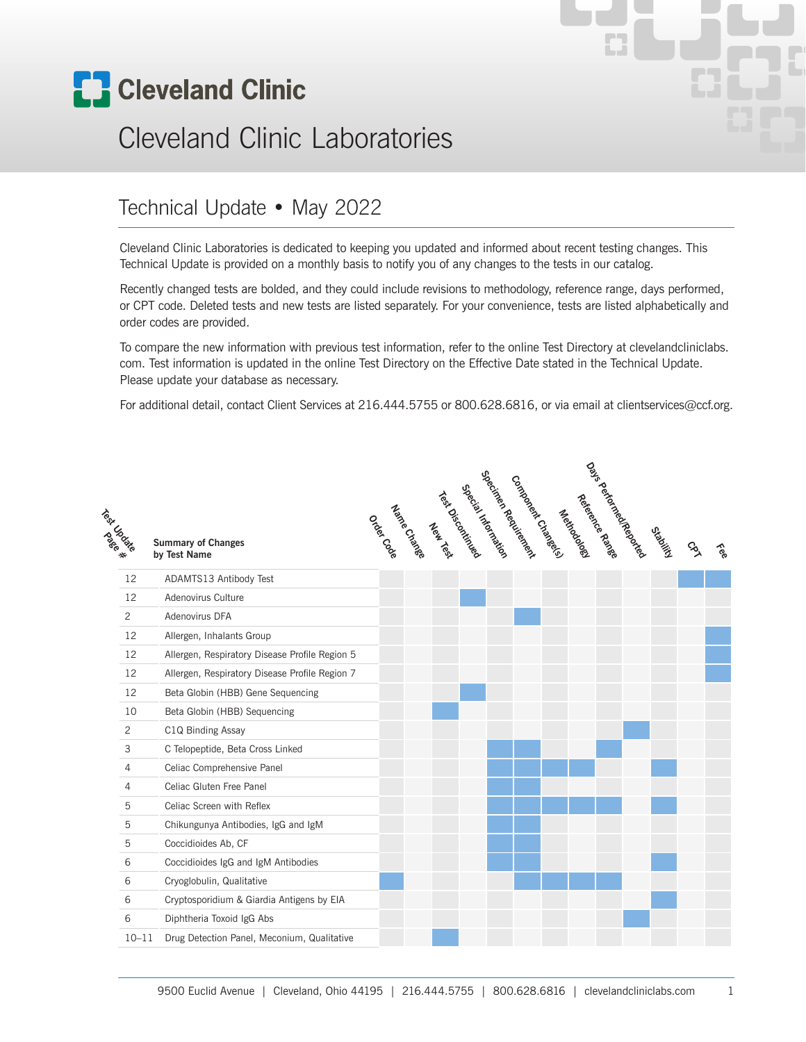

# Cleveland Clinic Laboratories

#### Technical Update • May 2022

Cleveland Clinic Laboratories is dedicated to keeping you updated and informed about recent testing changes. This Technical Update is provided on a monthly basis to notify you of any changes to the tests in our catalog.

Recently changed tests are bolded, and they could include revisions to methodology, reference range, days performed, or CPT code. Deleted tests and new tests are listed separately. For your convenience, tests are listed alphabetically and order codes are provided.

To compare the new information with previous test information, refer to the online Test Directory at clevelandcliniclabs. com. Test information is updated in the online Test Directory on the Effective Date stated in the Technical Update. Please update your database as necessary.

For additional detail, contact Client Services at 216.444.5755 or 800.628.6816, or via email at clientservices@ccf.org.

| Technologie |                | <b>Summary of Changes</b><br>by Test Name      |  | odos de Charles | Test Oiscours<br>New York | Special Medical River | Specings Readings | Contagret Contage | Newtodoge | Reference Rande | Day's deficincies | ORDNing | <b>SS</b> | <b>See</b> |
|-------------|----------------|------------------------------------------------|--|-----------------|---------------------------|-----------------------|-------------------|-------------------|-----------|-----------------|-------------------|---------|-----------|------------|
|             | 12             | ADAMTS13 Antibody Test                         |  |                 |                           |                       |                   |                   |           |                 |                   |         |           |            |
|             | 12             | Adenovirus Culture                             |  |                 |                           |                       |                   |                   |           |                 |                   |         |           |            |
|             | 2              | Adenovirus DFA                                 |  |                 |                           |                       |                   |                   |           |                 |                   |         |           |            |
|             | 12             | Allergen, Inhalants Group                      |  |                 |                           |                       |                   |                   |           |                 |                   |         |           |            |
|             | 12             | Allergen, Respiratory Disease Profile Region 5 |  |                 |                           |                       |                   |                   |           |                 |                   |         |           |            |
|             | 12             | Allergen, Respiratory Disease Profile Region 7 |  |                 |                           |                       |                   |                   |           |                 |                   |         |           |            |
|             | 12             | Beta Globin (HBB) Gene Sequencing              |  |                 |                           |                       |                   |                   |           |                 |                   |         |           |            |
|             | 10             | Beta Globin (HBB) Sequencing                   |  |                 |                           |                       |                   |                   |           |                 |                   |         |           |            |
|             | $\overline{c}$ | C1Q Binding Assay                              |  |                 |                           |                       |                   |                   |           |                 |                   |         |           |            |
|             | 3              | C Telopeptide, Beta Cross Linked               |  |                 |                           |                       |                   |                   |           |                 |                   |         |           |            |
|             | $\overline{4}$ | Celiac Comprehensive Panel                     |  |                 |                           |                       |                   |                   |           |                 |                   |         |           |            |
|             | $\overline{4}$ | Celiac Gluten Free Panel                       |  |                 |                           |                       |                   |                   |           |                 |                   |         |           |            |
|             | 5              | Celiac Screen with Reflex                      |  |                 |                           |                       |                   |                   |           |                 |                   |         |           |            |
|             | 5              | Chikungunya Antibodies, IgG and IgM            |  |                 |                           |                       |                   |                   |           |                 |                   |         |           |            |
|             | 5              | Coccidioides Ab, CF                            |  |                 |                           |                       |                   |                   |           |                 |                   |         |           |            |
|             | 6              | Coccidioides IgG and IgM Antibodies            |  |                 |                           |                       |                   |                   |           |                 |                   |         |           |            |
|             | 6              | Cryoglobulin, Qualitative                      |  |                 |                           |                       |                   |                   |           |                 |                   |         |           |            |
|             | 6              | Cryptosporidium & Giardia Antigens by EIA      |  |                 |                           |                       |                   |                   |           |                 |                   |         |           |            |
|             | 6              | Diphtheria Toxoid IgG Abs                      |  |                 |                           |                       |                   |                   |           |                 |                   |         |           |            |
|             | $10 - 11$      | Drug Detection Panel, Meconium, Qualitative    |  |                 |                           |                       |                   |                   |           |                 |                   |         |           |            |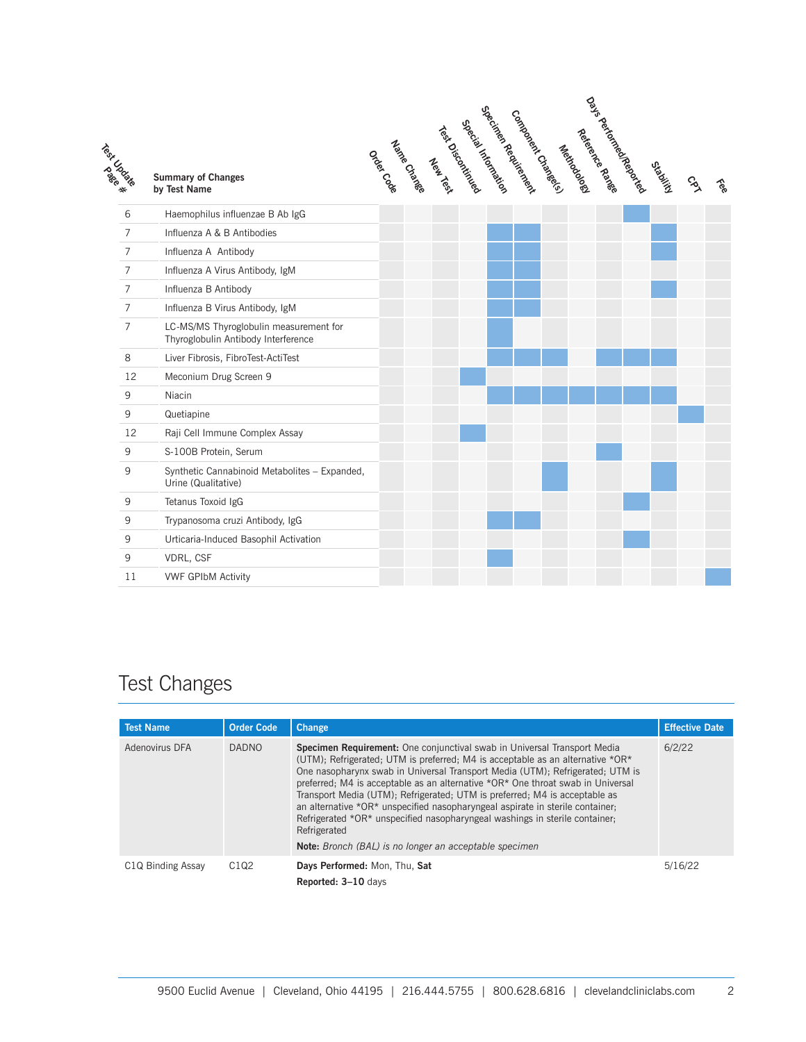| Test Creek     | <b>Summary of Changes</b><br>by Test Name                                     |  |  |  | Specingen Reading | Company Constants | Meridoopee | nas periorales de desde<br>Reference Randee | Crosting | $\mathcal{S}_{\lambda}$ | $\hat{\varepsilon}$ |
|----------------|-------------------------------------------------------------------------------|--|--|--|-------------------|-------------------|------------|---------------------------------------------|----------|-------------------------|---------------------|
| 6              | Haemophilus influenzae B Ab IgG                                               |  |  |  |                   |                   |            |                                             |          |                         |                     |
| $\overline{7}$ | Influenza A & B Antibodies                                                    |  |  |  |                   |                   |            |                                             |          |                         |                     |
| $\overline{7}$ | Influenza A Antibody                                                          |  |  |  |                   |                   |            |                                             |          |                         |                     |
| $\overline{7}$ | Influenza A Virus Antibody, IgM                                               |  |  |  |                   |                   |            |                                             |          |                         |                     |
| $\overline{7}$ | Influenza B Antibody                                                          |  |  |  |                   |                   |            |                                             |          |                         |                     |
| $\overline{7}$ | Influenza B Virus Antibody, IgM                                               |  |  |  |                   |                   |            |                                             |          |                         |                     |
| $\overline{7}$ | LC-MS/MS Thyroglobulin measurement for<br>Thyroglobulin Antibody Interference |  |  |  |                   |                   |            |                                             |          |                         |                     |
| 8              | Liver Fibrosis, FibroTest-ActiTest                                            |  |  |  |                   |                   |            |                                             |          |                         |                     |
| 12             | Meconium Drug Screen 9                                                        |  |  |  |                   |                   |            |                                             |          |                         |                     |
| 9              | Niacin                                                                        |  |  |  |                   |                   |            |                                             |          |                         |                     |
| 9              | Quetiapine                                                                    |  |  |  |                   |                   |            |                                             |          |                         |                     |
| 12             | Raji Cell Immune Complex Assay                                                |  |  |  |                   |                   |            |                                             |          |                         |                     |
| 9              | S-100B Protein, Serum                                                         |  |  |  |                   |                   |            |                                             |          |                         |                     |
| 9              | Synthetic Cannabinoid Metabolites - Expanded,<br>Urine (Qualitative)          |  |  |  |                   |                   |            |                                             |          |                         |                     |
| 9              | Tetanus Toxoid IgG                                                            |  |  |  |                   |                   |            |                                             |          |                         |                     |
| 9              | Trypanosoma cruzi Antibody, IgG                                               |  |  |  |                   |                   |            |                                             |          |                         |                     |
| 9              | Urticaria-Induced Basophil Activation                                         |  |  |  |                   |                   |            |                                             |          |                         |                     |
| 9              | VDRL, CSF                                                                     |  |  |  |                   |                   |            |                                             |          |                         |                     |
| 11             | <b>VWF GPIbM Activity</b>                                                     |  |  |  |                   |                   |            |                                             |          |                         |                     |

#### Test Changes

| <b>Test Name</b>               | <b>Order Code</b> | <b>Change</b>                                                                                                                                                                                                                                                                                                                                                                                                                                                                                                                                                                                                                                                 | <b>Effective Date</b> |
|--------------------------------|-------------------|---------------------------------------------------------------------------------------------------------------------------------------------------------------------------------------------------------------------------------------------------------------------------------------------------------------------------------------------------------------------------------------------------------------------------------------------------------------------------------------------------------------------------------------------------------------------------------------------------------------------------------------------------------------|-----------------------|
| Adenovirus DFA                 | <b>DADNO</b>      | Specimen Requirement: One conjunctival swab in Universal Transport Media<br>(UTM); Refrigerated; UTM is preferred; M4 is acceptable as an alternative *OR*<br>One nasopharynx swab in Universal Transport Media (UTM); Refrigerated; UTM is<br>preferred; M4 is acceptable as an alternative *OR* One throat swab in Universal<br>Transport Media (UTM); Refrigerated; UTM is preferred; M4 is acceptable as<br>an alternative *OR* unspecified nasopharyngeal aspirate in sterile container;<br>Refrigerated *OR* unspecified nasopharyngeal washings in sterile container.<br>Refrigerated<br><b>Note:</b> Bronch (BAL) is no longer an acceptable specimen | 6/2/22                |
| C <sub>1</sub> Q Binding Assay | C1Q2              | Days Performed: Mon, Thu, Sat<br>Reported: 3-10 days                                                                                                                                                                                                                                                                                                                                                                                                                                                                                                                                                                                                          | 5/16/22               |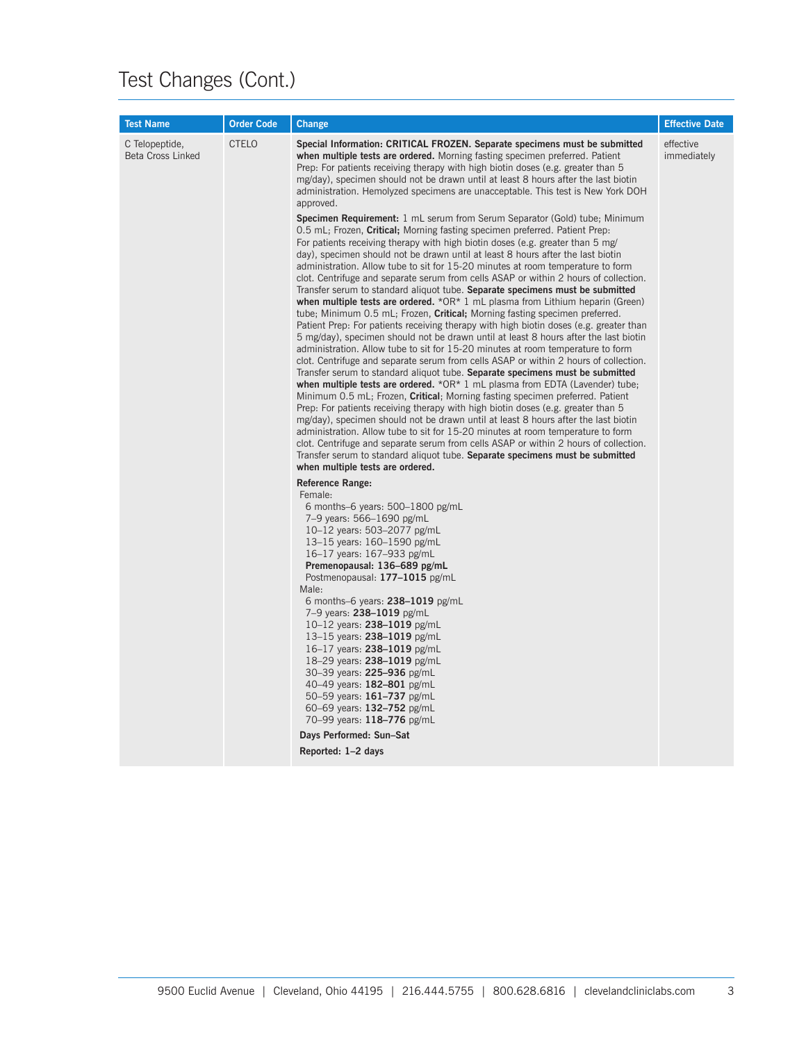| <b>Test Name</b>                           | <b>Order Code</b> | <b>Change</b>                                                                                                                                                                                                                                                                                                                                                                                                                                                                                                                                                                                                                                                                                                                                                                                                                                                                                                                                                                                                                                                                                                                                                                                                                                                                                                                                                                                                                                                                                                                                                                                                                                                                                                                                                                                                                                                                                                                                                                                                                                                                                                                                                                                                                                                                                                 | <b>Effective Date</b>    |
|--------------------------------------------|-------------------|---------------------------------------------------------------------------------------------------------------------------------------------------------------------------------------------------------------------------------------------------------------------------------------------------------------------------------------------------------------------------------------------------------------------------------------------------------------------------------------------------------------------------------------------------------------------------------------------------------------------------------------------------------------------------------------------------------------------------------------------------------------------------------------------------------------------------------------------------------------------------------------------------------------------------------------------------------------------------------------------------------------------------------------------------------------------------------------------------------------------------------------------------------------------------------------------------------------------------------------------------------------------------------------------------------------------------------------------------------------------------------------------------------------------------------------------------------------------------------------------------------------------------------------------------------------------------------------------------------------------------------------------------------------------------------------------------------------------------------------------------------------------------------------------------------------------------------------------------------------------------------------------------------------------------------------------------------------------------------------------------------------------------------------------------------------------------------------------------------------------------------------------------------------------------------------------------------------------------------------------------------------------------------------------------------------|--------------------------|
| C Telopeptide,<br><b>Beta Cross Linked</b> | <b>CTELO</b>      | Special Information: CRITICAL FROZEN. Separate specimens must be submitted<br>when multiple tests are ordered. Morning fasting specimen preferred. Patient<br>Prep: For patients receiving therapy with high biotin doses (e.g. greater than 5<br>mg/day), specimen should not be drawn until at least 8 hours after the last biotin<br>administration. Hemolyzed specimens are unacceptable. This test is New York DOH<br>approved.<br><b>Specimen Requirement:</b> 1 mL serum from Serum Separator (Gold) tube; Minimum<br>0.5 mL; Frozen, <b>Critical</b> ; Morning fasting specimen preferred. Patient Prep.<br>For patients receiving therapy with high biotin doses (e.g. greater than 5 mg/<br>day), specimen should not be drawn until at least 8 hours after the last biotin<br>administration. Allow tube to sit for 15-20 minutes at room temperature to form<br>clot. Centrifuge and separate serum from cells ASAP or within 2 hours of collection.<br>Transfer serum to standard aliquot tube. Separate specimens must be submitted<br>when multiple tests are ordered. $*OR*1$ mL plasma from Lithium heparin (Green)<br>tube; Minimum 0.5 mL; Frozen, Critical; Morning fasting specimen preferred.<br>Patient Prep: For patients receiving therapy with high biotin doses (e.g. greater than<br>5 mg/day), specimen should not be drawn until at least 8 hours after the last biotin<br>administration. Allow tube to sit for 15-20 minutes at room temperature to form<br>clot. Centrifuge and separate serum from cells ASAP or within 2 hours of collection.<br>Transfer serum to standard aliquot tube. Separate specimens must be submitted<br>when multiple tests are ordered. $*OR*1$ mL plasma from EDTA (Lavender) tube;<br>Minimum 0.5 mL; Frozen, Critical; Morning fasting specimen preferred. Patient<br>Prep: For patients receiving therapy with high biotin doses (e.g. greater than 5<br>mg/day), specimen should not be drawn until at least 8 hours after the last biotin<br>administration. Allow tube to sit for 15-20 minutes at room temperature to form<br>clot. Centrifuge and separate serum from cells ASAP or within 2 hours of collection.<br>Transfer serum to standard aliquot tube. Separate specimens must be submitted<br>when multiple tests are ordered. | effective<br>immediately |
|                                            |                   | <b>Reference Range:</b><br>Female:<br>6 months-6 years: $500-1800$ pg/mL<br>7-9 years: 566-1690 pg/mL<br>10-12 years: 503-2077 pg/mL<br>13–15 years: $160-1590$ pg/mL<br>16–17 years: 167–933 pg/mL<br>Premenopausal: 136–689 pg/mL<br>Postmenopausal: 177-1015 pg/mL<br>Male:<br>6 months-6 years: $238-1019$ pg/mL<br>7-9 years: 238-1019 pg/mL<br>10–12 years: $238 - 1019$ pg/mL<br>13–15 years: $238-1019$ pg/mL<br>16–17 years: $238 - 1019$ pg/mL<br>18-29 years: 238-1019 pg/mL<br>30-39 years: 225-936 pg/mL<br>40-49 years: 182-801 pg/mL<br>50-59 years: 161-737 pg/mL<br>60-69 years: 132-752 pg/mL<br>70–99 years: 118–776 pg/mL<br>Days Performed: Sun-Sat<br>Reported: 1-2 days                                                                                                                                                                                                                                                                                                                                                                                                                                                                                                                                                                                                                                                                                                                                                                                                                                                                                                                                                                                                                                                                                                                                                                                                                                                                                                                                                                                                                                                                                                                                                                                                                |                          |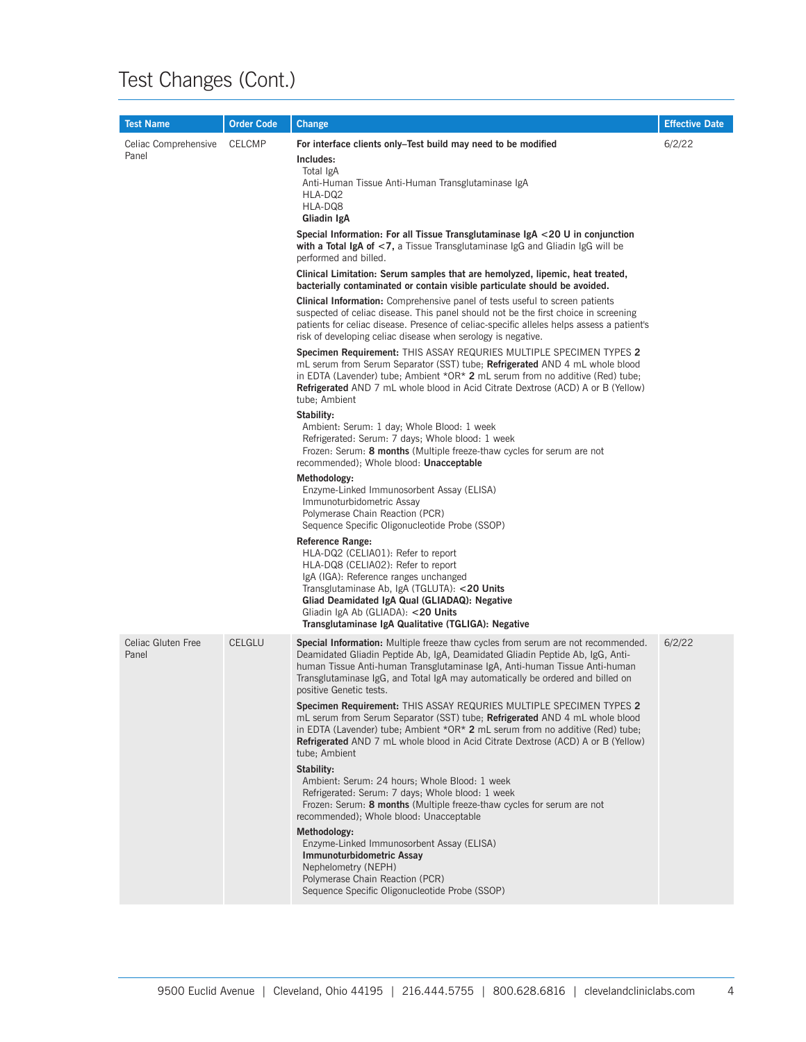| <b>Test Name</b>              | <b>Order Code</b>                                                                                                                                                                                                                                     | Change                                                                                                                                                                                                                                                                                                                                                              | <b>Effective Date</b>                                                                                                                                                                                                                                                                                                                   |  |  |  |  |  |                                                                                                                                                             |  |  |                                                                                                                                                                                                                                   |  |
|-------------------------------|-------------------------------------------------------------------------------------------------------------------------------------------------------------------------------------------------------------------------------------------------------|---------------------------------------------------------------------------------------------------------------------------------------------------------------------------------------------------------------------------------------------------------------------------------------------------------------------------------------------------------------------|-----------------------------------------------------------------------------------------------------------------------------------------------------------------------------------------------------------------------------------------------------------------------------------------------------------------------------------------|--|--|--|--|--|-------------------------------------------------------------------------------------------------------------------------------------------------------------|--|--|-----------------------------------------------------------------------------------------------------------------------------------------------------------------------------------------------------------------------------------|--|
| Celiac Comprehensive<br>Panel | <b>CELCMP</b>                                                                                                                                                                                                                                         | For interface clients only–Test build may need to be modified<br>Includes:<br>Total IgA<br>Anti-Human Tissue Anti-Human Transglutaminase IgA<br>HLA-DQ2<br>HLA-DQ8<br>Gliadin IgA                                                                                                                                                                                   | 6/2/22                                                                                                                                                                                                                                                                                                                                  |  |  |  |  |  |                                                                                                                                                             |  |  |                                                                                                                                                                                                                                   |  |
|                               |                                                                                                                                                                                                                                                       | Special Information: For all Tissue Transglutaminase IgA <20 U in conjunction<br>with a Total IgA of <7, a Tissue Transglutaminase IgG and Gliadin IgG will be<br>performed and billed.                                                                                                                                                                             |                                                                                                                                                                                                                                                                                                                                         |  |  |  |  |  |                                                                                                                                                             |  |  |                                                                                                                                                                                                                                   |  |
|                               |                                                                                                                                                                                                                                                       |                                                                                                                                                                                                                                                                                                                                                                     |                                                                                                                                                                                                                                                                                                                                         |  |  |  |  |  | Clinical Limitation: Serum samples that are hemolyzed, lipemic, heat treated,<br>bacterially contaminated or contain visible particulate should be avoided. |  |  |                                                                                                                                                                                                                                   |  |
|                               |                                                                                                                                                                                                                                                       |                                                                                                                                                                                                                                                                                                                                                                     | <b>Clinical Information:</b> Comprehensive panel of tests useful to screen patients<br>suspected of celiac disease. This panel should not be the first choice in screening<br>patients for celiac disease. Presence of celiac-specific alleles helps assess a patient's<br>risk of developing celiac disease when serology is negative. |  |  |  |  |  |                                                                                                                                                             |  |  |                                                                                                                                                                                                                                   |  |
|                               |                                                                                                                                                                                                                                                       | Specimen Requirement: THIS ASSAY REQURIES MULTIPLE SPECIMEN TYPES 2<br>mL serum from Serum Separator (SST) tube; <b>Refrigerated</b> AND 4 mL whole blood<br>in EDTA (Lavender) tube; Ambient $*OR*$ 2 mL serum from no additive (Red) tube;<br><b>Refrigerated</b> AND 7 mL whole blood in Acid Citrate Dextrose (ACD) A or B (Yellow)<br>tube; Ambient            |                                                                                                                                                                                                                                                                                                                                         |  |  |  |  |  |                                                                                                                                                             |  |  |                                                                                                                                                                                                                                   |  |
|                               |                                                                                                                                                                                                                                                       |                                                                                                                                                                                                                                                                                                                                                                     |                                                                                                                                                                                                                                                                                                                                         |  |  |  |  |  |                                                                                                                                                             |  |  | Stability:<br>Ambient: Serum: 1 day; Whole Blood: 1 week<br>Refrigerated: Serum: 7 days; Whole blood: 1 week<br>Frozen: Serum: 8 months (Multiple freeze-thaw cycles for serum are not<br>recommended); Whole blood: Unacceptable |  |
|                               |                                                                                                                                                                                                                                                       | Methodology:<br>Enzyme-Linked Immunosorbent Assay (ELISA)<br>Immunoturbidometric Assay<br>Polymerase Chain Reaction (PCR)<br>Sequence Specific Oligonucleotide Probe (SSOP)                                                                                                                                                                                         |                                                                                                                                                                                                                                                                                                                                         |  |  |  |  |  |                                                                                                                                                             |  |  |                                                                                                                                                                                                                                   |  |
|                               |                                                                                                                                                                                                                                                       | Reference Range:<br>HLA-DQ2 (CELIAO1): Refer to report<br>HLA-DQ8 (CELIA02): Refer to report<br>IgA (IGA): Reference ranges unchanged<br>Transglutaminase Ab, IgA (TGLUTA): <20 Units<br>Gliad Deamidated IgA Qual (GLIADAQ): Negative<br>Gliadin IgA Ab (GLIADA): <20 Units<br>Transglutaminase IgA Qualitative (TGLIGA): Negative                                 |                                                                                                                                                                                                                                                                                                                                         |  |  |  |  |  |                                                                                                                                                             |  |  |                                                                                                                                                                                                                                   |  |
| Celiac Gluten Free<br>Panel   | <b>CELGLU</b>                                                                                                                                                                                                                                         | <b>Special Information:</b> Multiple freeze thaw cycles from serum are not recommended.<br>Deamidated Gliadin Peptide Ab, IgA, Deamidated Gliadin Peptide Ab, IgG, Anti-<br>human Tissue Anti-human Transglutaminase IgA, Anti-human Tissue Anti-human<br>Transglutaminase IgG, and Total IgA may automatically be ordered and billed on<br>positive Genetic tests. | 6/2/22                                                                                                                                                                                                                                                                                                                                  |  |  |  |  |  |                                                                                                                                                             |  |  |                                                                                                                                                                                                                                   |  |
|                               | tube; Ambient<br>Stability:<br>Ambient: Serum: 24 hours; Whole Blood: 1 week<br>Refrigerated: Serum: 7 days; Whole blood: 1 week<br>Frozen: Serum: 8 months (Multiple freeze-thaw cycles for serum are not<br>recommended); Whole blood: Unacceptable | Specimen Requirement: THIS ASSAY REQURIES MULTIPLE SPECIMEN TYPES 2<br>mL serum from Serum Separator (SST) tube; Refrigerated AND 4 mL whole blood<br>in EDTA (Lavender) tube; Ambient $*OR*$ 2 mL serum from no additive (Red) tube;<br><b>Refrigerated</b> AND 7 mL whole blood in Acid Citrate Dextrose (ACD) A or B (Yellow)                                    |                                                                                                                                                                                                                                                                                                                                         |  |  |  |  |  |                                                                                                                                                             |  |  |                                                                                                                                                                                                                                   |  |
|                               |                                                                                                                                                                                                                                                       |                                                                                                                                                                                                                                                                                                                                                                     |                                                                                                                                                                                                                                                                                                                                         |  |  |  |  |  |                                                                                                                                                             |  |  |                                                                                                                                                                                                                                   |  |
|                               |                                                                                                                                                                                                                                                       | Methodology:<br>Enzyme-Linked Immunosorbent Assay (ELISA)<br>Immunoturbidometric Assay<br>Nephelometry (NEPH)<br>Polymerase Chain Reaction (PCR)<br>Sequence Specific Oligonucleotide Probe (SSOP)                                                                                                                                                                  |                                                                                                                                                                                                                                                                                                                                         |  |  |  |  |  |                                                                                                                                                             |  |  |                                                                                                                                                                                                                                   |  |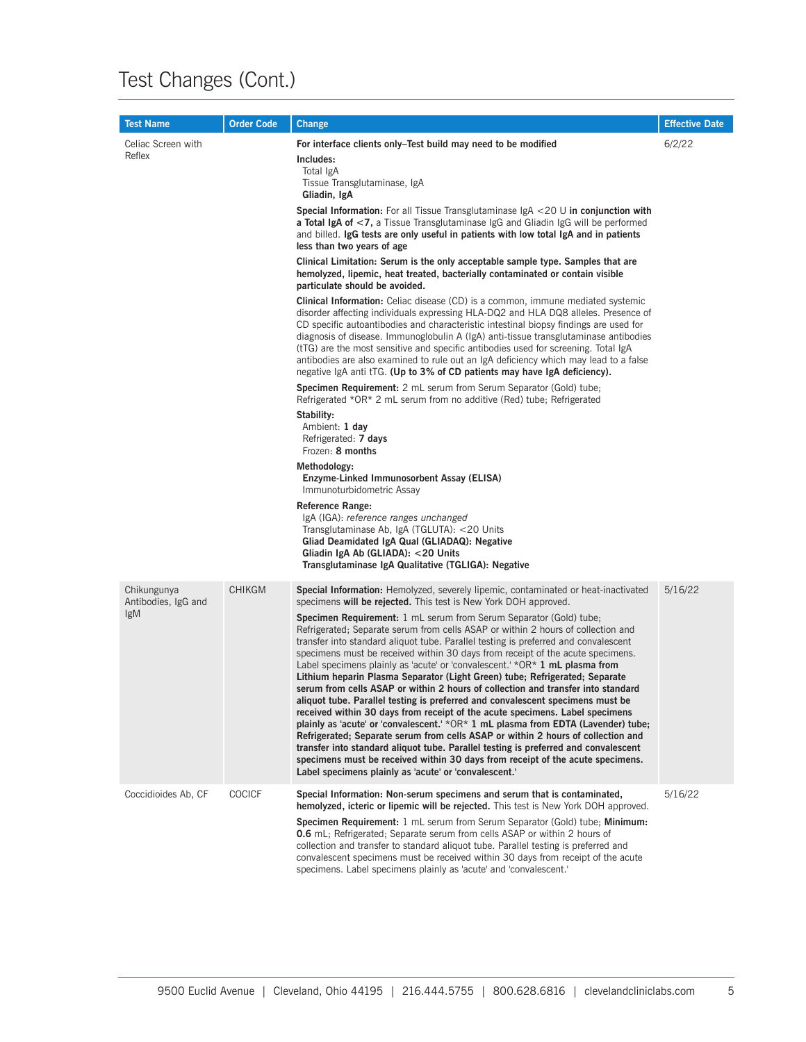| <b>Test Name</b>                                 | <b>Order Code</b> | Change                                                                                                                                                                                                                                                                                                                                                                                                                                                                                                                                                                                                                                                                                                                                                                                                                                                                                                                                                                                                                                                                                                                                                                                                                                                                                                                                                                                                                                                                                                                                                                                                                                                                                                                                                                                                                                                                        | <b>Effective Date</b> |
|--------------------------------------------------|-------------------|-------------------------------------------------------------------------------------------------------------------------------------------------------------------------------------------------------------------------------------------------------------------------------------------------------------------------------------------------------------------------------------------------------------------------------------------------------------------------------------------------------------------------------------------------------------------------------------------------------------------------------------------------------------------------------------------------------------------------------------------------------------------------------------------------------------------------------------------------------------------------------------------------------------------------------------------------------------------------------------------------------------------------------------------------------------------------------------------------------------------------------------------------------------------------------------------------------------------------------------------------------------------------------------------------------------------------------------------------------------------------------------------------------------------------------------------------------------------------------------------------------------------------------------------------------------------------------------------------------------------------------------------------------------------------------------------------------------------------------------------------------------------------------------------------------------------------------------------------------------------------------|-----------------------|
| Celiac Screen with<br>Reflex                     |                   | For interface clients only–Test build may need to be modified<br>Includes:<br>Total IgA<br>Tissue Transglutaminase, IgA<br>Gliadin, IgA<br><b>Special Information:</b> For all Tissue Transglutaminase $gA < 20$ U in conjunction with<br>a Total IgA of <7, a Tissue Transglutaminase IgG and Gliadin IgG will be performed<br>and billed. IgG tests are only useful in patients with low total IgA and in patients<br>less than two years of age<br>Clinical Limitation: Serum is the only acceptable sample type. Samples that are<br>hemolyzed, lipemic, heat treated, bacterially contaminated or contain visible<br>particulate should be avoided.<br><b>Clinical Information:</b> Celiac disease (CD) is a common, immune mediated systemic<br>disorder affecting individuals expressing HLA-DQ2 and HLA DQ8 alleles. Presence of<br>CD specific autoantibodies and characteristic intestinal biopsy findings are used for<br>diagnosis of disease. Immunoglobulin A (IgA) anti-tissue transglutaminase antibodies<br>(tTG) are the most sensitive and specific antibodies used for screening. Total IgA<br>antibodies are also examined to rule out an IgA deficiency which may lead to a false<br>negative IgA anti tTG. (Up to 3% of CD patients may have IgA deficiency).<br>Specimen Requirement: 2 mL serum from Serum Separator (Gold) tube;<br>Refrigerated *OR* 2 mL serum from no additive (Red) tube; Refrigerated<br>Stability:<br>Ambient: 1 day<br>Refrigerated: 7 days<br>Frozen: 8 months<br>Methodology:<br>Enzyme-Linked Immunosorbent Assay (ELISA)<br>Immunoturbidometric Assay<br><b>Reference Range:</b><br>IgA (IGA): reference ranges unchanged<br>Transglutaminase Ab, IgA (TGLUTA): <20 Units<br>Gliad Deamidated IgA Qual (GLIADAQ): Negative<br>Gliadin IgA Ab (GLIADA): < 20 Units<br>Transglutaminase IgA Qualitative (TGLIGA): Negative | 6/2/22                |
| Chikungunya<br>Antibodies, IgG and<br><i>lgM</i> | <b>CHIKGM</b>     | Special Information: Hemolyzed, severely lipemic, contaminated or heat-inactivated<br>specimens will be rejected. This test is New York DOH approved.<br><b>Specimen Requirement:</b> 1 mL serum from Serum Separator (Gold) tube;<br>Refrigerated; Separate serum from cells ASAP or within 2 hours of collection and<br>transfer into standard aliquot tube. Parallel testing is preferred and convalescent<br>specimens must be received within 30 days from receipt of the acute specimens.<br>Label specimens plainly as 'acute' or 'convalescent.' $*OR*$ 1 mL plasma from<br>Lithium heparin Plasma Separator (Light Green) tube; Refrigerated; Separate<br>serum from cells ASAP or within 2 hours of collection and transfer into standard<br>aliquot tube. Parallel testing is preferred and convalescent specimens must be<br>received within 30 days from receipt of the acute specimens. Label specimens<br>plainly as 'acute' or 'convalescent.' $*OR*1$ mL plasma from EDTA (Lavender) tube;<br>Refrigerated; Separate serum from cells ASAP or within 2 hours of collection and<br>transfer into standard aliquot tube. Parallel testing is preferred and convalescent<br>specimens must be received within 30 days from receipt of the acute specimens.<br>Label specimens plainly as 'acute' or 'convalescent.'                                                                                                                                                                                                                                                                                                                                                                                                                                                                                                                                             | 5/16/22               |
| Coccidioides Ab, CF                              | <b>COCICF</b>     | Special Information: Non-serum specimens and serum that is contaminated,<br>hemolyzed, icteric or lipemic will be rejected. This test is New York DOH approved.<br><b>Specimen Requirement:</b> 1 mL serum from Serum Separator (Gold) tube; <b>Minimum:</b><br><b>0.6</b> mL; Refrigerated; Separate serum from cells ASAP or within 2 hours of<br>collection and transfer to standard aliquot tube. Parallel testing is preferred and<br>convalescent specimens must be received within 30 days from receipt of the acute<br>specimens. Label specimens plainly as 'acute' and 'convalescent.'                                                                                                                                                                                                                                                                                                                                                                                                                                                                                                                                                                                                                                                                                                                                                                                                                                                                                                                                                                                                                                                                                                                                                                                                                                                                              | 5/16/22               |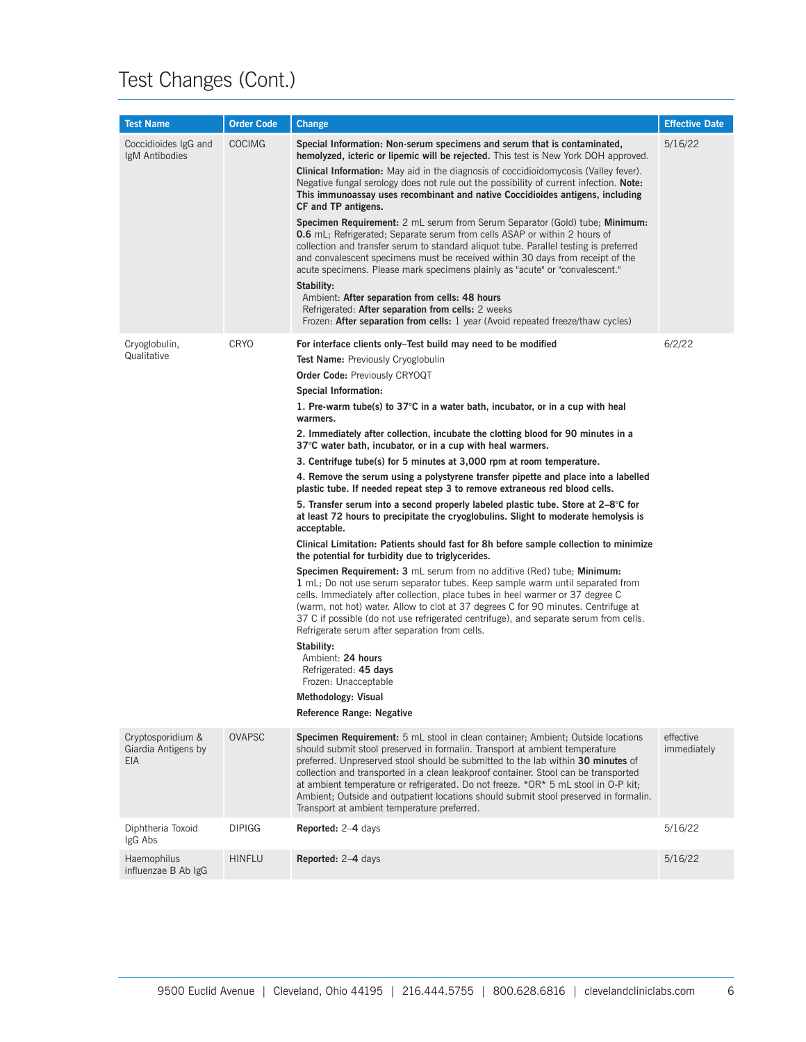| <b>Test Name</b>                                       | <b>Order Code</b> | <b>Change</b>                                                                                                                                                                                                                                                                                                                                                                                                                                                                                                                                                                                                                                                                                                                                                                                                                                                                                                                                                                                                                                                                                                                                                                                                                                                                                                                                                                                                                                                                                                                                                                                                                                                                          | <b>Effective Date</b>    |
|--------------------------------------------------------|-------------------|----------------------------------------------------------------------------------------------------------------------------------------------------------------------------------------------------------------------------------------------------------------------------------------------------------------------------------------------------------------------------------------------------------------------------------------------------------------------------------------------------------------------------------------------------------------------------------------------------------------------------------------------------------------------------------------------------------------------------------------------------------------------------------------------------------------------------------------------------------------------------------------------------------------------------------------------------------------------------------------------------------------------------------------------------------------------------------------------------------------------------------------------------------------------------------------------------------------------------------------------------------------------------------------------------------------------------------------------------------------------------------------------------------------------------------------------------------------------------------------------------------------------------------------------------------------------------------------------------------------------------------------------------------------------------------------|--------------------------|
| Coccidioides IgG and<br>IgM Antibodies                 | <b>COCIMG</b>     | Special Information: Non-serum specimens and serum that is contaminated,<br>hemolyzed, icteric or lipemic will be rejected. This test is New York DOH approved.<br><b>Clinical Information:</b> May aid in the diagnosis of coccidioidomycosis (Valley fever).<br>Negative fungal serology does not rule out the possibility of current infection. <b>Note:</b><br>This immunoassay uses recombinant and native Coccidioides antigens, including<br>CF and TP antigens.<br><b>Specimen Requirement:</b> 2 mL serum from Serum Separator (Gold) tube; <b>Minimum:</b><br>0.6 mL; Refrigerated; Separate serum from cells ASAP or within 2 hours of<br>collection and transfer serum to standard aliquot tube. Parallel testing is preferred<br>and convalescent specimens must be received within 30 days from receipt of the<br>acute specimens. Please mark specimens plainly as "acute" or "convalescent."<br>Stability:<br>Ambient: After separation from cells: 48 hours<br>Refrigerated: After separation from cells: 2 weeks<br>Frozen: After separation from cells: 1 year (Avoid repeated freeze/thaw cycles)                                                                                                                                                                                                                                                                                                                                                                                                                                                                                                                                                                  | 5/16/22                  |
| Cryoglobulin,<br>Qualitative                           | <b>CRYO</b>       | For interface clients only–Test build may need to be modified<br><b>Test Name:</b> Previously Cryoglobulin<br><b>Order Code: Previously CRYOQT</b><br>Special Information:<br>1. Pre-warm tube(s) to $37^{\circ}$ C in a water bath, incubator, or in a cup with heal<br>warmers.<br>2. Immediately after collection, incubate the clotting blood for 90 minutes in a<br>37°C water bath, incubator, or in a cup with heal warmers.<br>3. Centrifuge tube(s) for 5 minutes at 3,000 rpm at room temperature.<br>4. Remove the serum using a polystyrene transfer pipette and place into a labelled<br>plastic tube. If needed repeat step 3 to remove extraneous red blood cells.<br>5. Transfer serum into a second properly labeled plastic tube. Store at $2-8^{\circ}$ C for<br>at least 72 hours to precipitate the cryoglobulins. Slight to moderate hemolysis is<br>acceptable.<br>Clinical Limitation: Patients should fast for 8h before sample collection to minimize<br>the potential for turbidity due to triglycerides.<br><b>Specimen Requirement: 3</b> mL serum from no additive (Red) tube; <b>Minimum:</b><br>1 mL; Do not use serum separator tubes. Keep sample warm until separated from<br>cells. Immediately after collection, place tubes in heel warmer or 37 degree C<br>(warm, not hot) water. Allow to clot at 37 degrees C for 90 minutes. Centrifuge at<br>37 C if possible (do not use refrigerated centrifuge), and separate serum from cells.<br>Refrigerate serum after separation from cells.<br>Stability:<br>Ambient: 24 hours<br>Refrigerated: 45 days<br>Frozen: Unacceptable<br><b>Methodology: Visual</b><br><b>Reference Range: Negative</b> | 6/2/22                   |
| Cryptosporidium &<br>Giardia Antigens by<br><b>EIA</b> | <b>OVAPSC</b>     | <b>Specimen Requirement:</b> 5 mL stool in clean container; Ambient; Outside locations<br>should submit stool preserved in formalin. Transport at ambient temperature<br>preferred. Unpreserved stool should be submitted to the lab within 30 minutes of<br>collection and transported in a clean leakproof container. Stool can be transported<br>at ambient temperature or refrigerated. Do not freeze. *OR* 5 mL stool in O-P kit;<br>Ambient; Outside and outpatient locations should submit stool preserved in formalin.<br>Transport at ambient temperature preferred.                                                                                                                                                                                                                                                                                                                                                                                                                                                                                                                                                                                                                                                                                                                                                                                                                                                                                                                                                                                                                                                                                                          | effective<br>immediately |
| Diphtheria Toxoid<br>IgG Abs                           | <b>DIPIGG</b>     | Reported: 2-4 days                                                                                                                                                                                                                                                                                                                                                                                                                                                                                                                                                                                                                                                                                                                                                                                                                                                                                                                                                                                                                                                                                                                                                                                                                                                                                                                                                                                                                                                                                                                                                                                                                                                                     | 5/16/22                  |
| Haemophilus<br>influenzae B Ab IgG                     | <b>HINFLU</b>     | Reported: 2-4 days                                                                                                                                                                                                                                                                                                                                                                                                                                                                                                                                                                                                                                                                                                                                                                                                                                                                                                                                                                                                                                                                                                                                                                                                                                                                                                                                                                                                                                                                                                                                                                                                                                                                     | 5/16/22                  |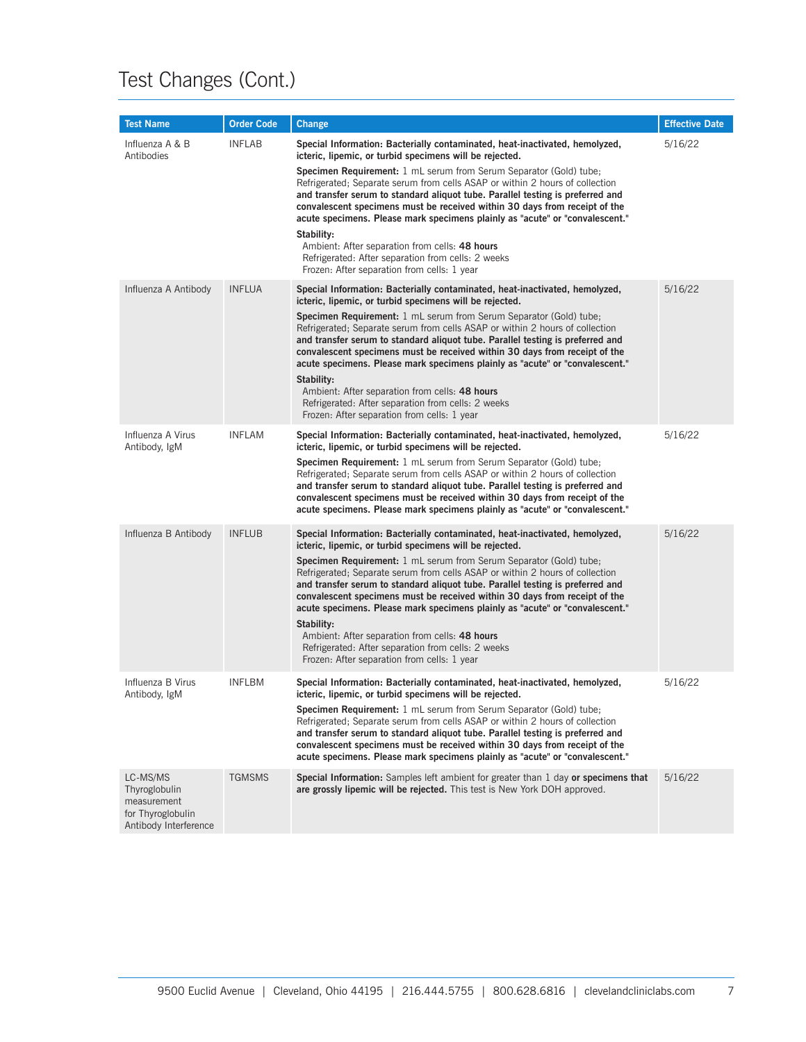| <b>Test Name</b>                                                                       | <b>Order Code</b> | <b>Change</b>                                                                                                                                                                                                                                                                                                                                                                                                                                                                                                                                                                                                                                                                                                     | <b>Effective Date</b> |
|----------------------------------------------------------------------------------------|-------------------|-------------------------------------------------------------------------------------------------------------------------------------------------------------------------------------------------------------------------------------------------------------------------------------------------------------------------------------------------------------------------------------------------------------------------------------------------------------------------------------------------------------------------------------------------------------------------------------------------------------------------------------------------------------------------------------------------------------------|-----------------------|
| Influenza A & B<br>Antibodies                                                          | <b>INFLAB</b>     | Special Information: Bacterially contaminated, heat-inactivated, hemolyzed,<br>icteric, lipemic, or turbid specimens will be rejected.<br><b>Specimen Requirement:</b> 1 mL serum from Serum Separator (Gold) tube;<br>Refrigerated; Separate serum from cells ASAP or within 2 hours of collection<br>and transfer serum to standard aliquot tube. Parallel testing is preferred and<br>convalescent specimens must be received within 30 days from receipt of the<br>acute specimens. Please mark specimens plainly as "acute" or "convalescent."<br>Stability:                                                                                                                                                 | 5/16/22               |
|                                                                                        |                   | Ambient: After separation from cells: 48 hours<br>Refrigerated: After separation from cells: 2 weeks<br>Frozen: After separation from cells: 1 year                                                                                                                                                                                                                                                                                                                                                                                                                                                                                                                                                               |                       |
| Influenza A Antibody                                                                   | <b>INFLUA</b>     | Special Information: Bacterially contaminated, heat-inactivated, hemolyzed,<br>icteric, lipemic, or turbid specimens will be rejected.<br>Specimen Requirement: 1 mL serum from Serum Separator (Gold) tube;<br>Refrigerated; Separate serum from cells ASAP or within 2 hours of collection<br>and transfer serum to standard aliquot tube. Parallel testing is preferred and<br>convalescent specimens must be received within 30 days from receipt of the<br>acute specimens. Please mark specimens plainly as "acute" or "convalescent."<br>Stability:<br>Ambient: After separation from cells: 48 hours<br>Refrigerated: After separation from cells: 2 weeks<br>Frozen: After separation from cells: 1 year | 5/16/22               |
| Influenza A Virus<br>Antibody, IgM                                                     | <b>INFLAM</b>     | Special Information: Bacterially contaminated, heat-inactivated, hemolyzed,<br>icteric, lipemic, or turbid specimens will be rejected.<br><b>Specimen Requirement:</b> 1 mL serum from Serum Separator (Gold) tube;<br>Refrigerated; Separate serum from cells ASAP or within 2 hours of collection<br>and transfer serum to standard aliquot tube. Parallel testing is preferred and<br>convalescent specimens must be received within 30 days from receipt of the<br>acute specimens. Please mark specimens plainly as "acute" or "convalescent."                                                                                                                                                               | 5/16/22               |
| Influenza B Antibody                                                                   | <b>INFLUB</b>     | Special Information: Bacterially contaminated, heat-inactivated, hemolyzed,<br>icteric, lipemic, or turbid specimens will be rejected.<br>Specimen Requirement: 1 mL serum from Serum Separator (Gold) tube;<br>Refrigerated; Separate serum from cells ASAP or within 2 hours of collection<br>and transfer serum to standard aliquot tube. Parallel testing is preferred and<br>convalescent specimens must be received within 30 days from receipt of the<br>acute specimens. Please mark specimens plainly as "acute" or "convalescent."<br>Stability:<br>Ambient: After separation from cells: 48 hours<br>Refrigerated: After separation from cells: 2 weeks<br>Frozen: After separation from cells: 1 year | 5/16/22               |
| Influenza B Virus<br>Antibody, IgM                                                     | <b>INFLBM</b>     | Special Information: Bacterially contaminated, heat-inactivated, hemolyzed,<br>icteric, lipemic, or turbid specimens will be rejected.<br>Specimen Requirement: 1 mL serum from Serum Separator (Gold) tube;<br>Refrigerated; Separate serum from cells ASAP or within 2 hours of collection<br>and transfer serum to standard aliquot tube. Parallel testing is preferred and<br>convalescent specimens must be received within 30 days from receipt of the<br>acute specimens. Please mark specimens plainly as "acute" or "convalescent."                                                                                                                                                                      | 5/16/22               |
| LC-MS/MS<br>Thyroglobulin<br>measurement<br>for Thyroglobulin<br>Antibody Interference | <b>TGMSMS</b>     | Special Information: Samples left ambient for greater than 1 day or specimens that<br>are grossly lipemic will be rejected. This test is New York DOH approved.                                                                                                                                                                                                                                                                                                                                                                                                                                                                                                                                                   | 5/16/22               |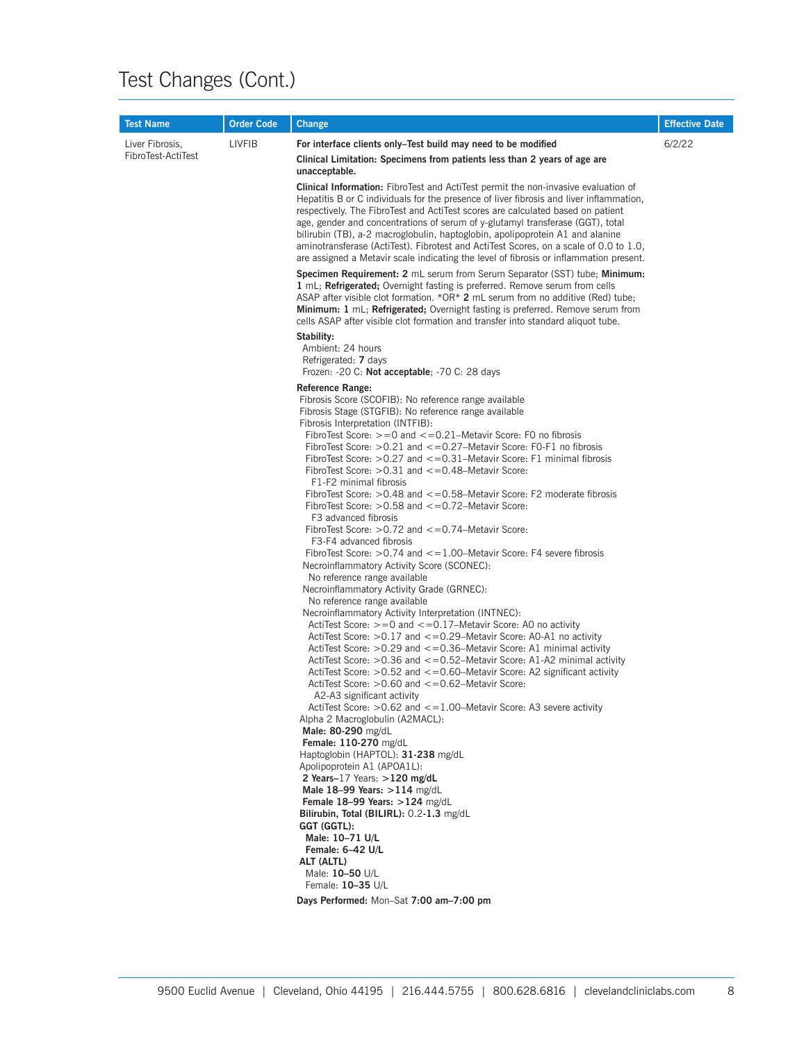| <b>Test Name</b>   | <b>Order Code</b> | <b>Change</b>                                                                                                                                                                                                                                                                                                                                                                                                                                                                                                                                                                                                                                                                                                                                                                                                                                                                                                                                                                                                                                                                                                                                                                                                                                                                                                                                                                                                                                                                                                                                                                                                                                                                                                                                                                                                                                                                                                                                               | <b>Effective Date</b> |  |  |  |                                                                        |  |  |  |  |  |  |  |  |                                         |  |
|--------------------|-------------------|-------------------------------------------------------------------------------------------------------------------------------------------------------------------------------------------------------------------------------------------------------------------------------------------------------------------------------------------------------------------------------------------------------------------------------------------------------------------------------------------------------------------------------------------------------------------------------------------------------------------------------------------------------------------------------------------------------------------------------------------------------------------------------------------------------------------------------------------------------------------------------------------------------------------------------------------------------------------------------------------------------------------------------------------------------------------------------------------------------------------------------------------------------------------------------------------------------------------------------------------------------------------------------------------------------------------------------------------------------------------------------------------------------------------------------------------------------------------------------------------------------------------------------------------------------------------------------------------------------------------------------------------------------------------------------------------------------------------------------------------------------------------------------------------------------------------------------------------------------------------------------------------------------------------------------------------------------------|-----------------------|--|--|--|------------------------------------------------------------------------|--|--|--|--|--|--|--|--|-----------------------------------------|--|
| Liver Fibrosis,    | <b>LIVFIB</b>     | For interface clients only–Test build may need to be modified                                                                                                                                                                                                                                                                                                                                                                                                                                                                                                                                                                                                                                                                                                                                                                                                                                                                                                                                                                                                                                                                                                                                                                                                                                                                                                                                                                                                                                                                                                                                                                                                                                                                                                                                                                                                                                                                                               | 6/2/22                |  |  |  |                                                                        |  |  |  |  |  |  |  |  |                                         |  |
| FibroTest-ActiTest |                   | Clinical Limitation: Specimens from patients less than 2 years of age are<br>unacceptable.                                                                                                                                                                                                                                                                                                                                                                                                                                                                                                                                                                                                                                                                                                                                                                                                                                                                                                                                                                                                                                                                                                                                                                                                                                                                                                                                                                                                                                                                                                                                                                                                                                                                                                                                                                                                                                                                  |                       |  |  |  |                                                                        |  |  |  |  |  |  |  |  |                                         |  |
|                    |                   | <b>Clinical Information:</b> FibroTest and ActiTest permit the non-invasive evaluation of<br>Hepatitis B or C individuals for the presence of liver fibrosis and liver inflammation,<br>respectively. The FibroTest and ActiTest scores are calculated based on patient<br>age, gender and concentrations of serum of y-glutamyl transferase (GGT), total<br>bilirubin (TB), a-2 macroglobulin, haptoglobin, apolipoprotein A1 and alanine<br>aminotransferase (ActiTest). Fibrotest and ActiTest Scores, on a scale of 0.0 to 1.0,<br>are assigned a Metavir scale indicating the level of fibrosis or inflammation present.                                                                                                                                                                                                                                                                                                                                                                                                                                                                                                                                                                                                                                                                                                                                                                                                                                                                                                                                                                                                                                                                                                                                                                                                                                                                                                                               |                       |  |  |  |                                                                        |  |  |  |  |  |  |  |  |                                         |  |
|                    |                   | <b>Specimen Requirement: 2</b> mL serum from Serum Separator (SST) tube; <b>Minimum:</b><br>1 mL; Refrigerated; Overnight fasting is preferred. Remove serum from cells<br>ASAP after visible clot formation. $*OR*$ 2 mL serum from no additive (Red) tube;<br><b>Minimum: 1</b> mL; <b>Refrigerated</b> ; Overnight fasting is preferred. Remove serum from<br>cells ASAP after visible clot formation and transfer into standard aliquot tube.                                                                                                                                                                                                                                                                                                                                                                                                                                                                                                                                                                                                                                                                                                                                                                                                                                                                                                                                                                                                                                                                                                                                                                                                                                                                                                                                                                                                                                                                                                           |                       |  |  |  |                                                                        |  |  |  |  |  |  |  |  |                                         |  |
|                    |                   | Stability:<br>Ambient: 24 hours<br>Refrigerated: 7 days<br>Frozen: - 20 C: Not acceptable: - 70 C: 28 days                                                                                                                                                                                                                                                                                                                                                                                                                                                                                                                                                                                                                                                                                                                                                                                                                                                                                                                                                                                                                                                                                                                                                                                                                                                                                                                                                                                                                                                                                                                                                                                                                                                                                                                                                                                                                                                  |                       |  |  |  |                                                                        |  |  |  |  |  |  |  |  |                                         |  |
|                    |                   | Reference Range:<br>Fibrosis Score (SCOFIB): No reference range available<br>Fibrosis Stage (STGFIB): No reference range available<br>Fibrosis Interpretation (INTFIB):<br>FibroTest Score: $> = 0$ and $< = 0.21$ –Metavir Score: F0 no fibrosis<br>FibroTest Score: $>0.21$ and $<-0.27$ –Metavir Score: FO-F1 no fibrosis<br>FibroTest Score: $>0.27$ and $<-0.31$ –Metavir Score: F1 minimal fibrosis<br>FibroTest Score: $>0.31$ and $<-0.48$ –Metavir Score:<br>F1-F2 minimal fibrosis<br>FibroTest Score: $>0.48$ and $<-0.58$ –Metavir Score: F2 moderate fibrosis<br>FibroTest Score: $>0.58$ and $<-0.72$ –Metavir Score:<br>F3 advanced fibrosis<br>FibroTest Score: $>0.72$ and $<-0.74$ –Metavir Score:<br>F3-F4 advanced fibrosis<br>FibroTest Score: $>0.74$ and $<-1.00$ –Metavir Score: F4 severe fibrosis<br>Necroinflammatory Activity Score (SCONEC):<br>No reference range available<br>Necroinflammatory Activity Grade (GRNEC):<br>No reference range available<br>Necroinflammatory Activity Interpretation (INTNEC):<br>ActiTest Score: $> = 0$ and $< = 0.17$ –Metavir Score: A0 no activity<br>ActiTest Score: $>0.17$ and $<-0.29$ –Metavir Score: AO-A1 no activity<br>ActiTest Score: $>0.29$ and $<-0.36$ –Metavir Score: A1 minimal activity<br>ActiTest Score: $>0.36$ and $<-0.52$ –Metavir Score: A1-A2 minimal activity<br>ActiTest Score: $>0.52$ and $<-0.60$ –Metavir Score: A2 significant activity<br>ActiTest Score: $>0.60$ and $<-0.62$ –Metavir Score:<br>A2-A3 significant activity<br>ActiTest Score: $>0.62$ and $\lt=1.00$ –Metavir Score: A3 severe activity<br>Alpha 2 Macroglobulin (A2MACL):<br>Male: 80-290 mg/dL<br>Female: 110-270 mg/dL<br>Haptoglobin (HAPTOL): 31-238 mg/dL<br>Apolipoprotein A1 (APOA1L):<br>2 Years-17 Years: $>120$ mg/dL<br>Male 18-99 Years: >114 mg/dL<br>Female $18-99$ Years: $>124$ mg/dL<br>Bilirubin, Total (BILIRL): 0.2-1.3 mg/dL<br>GGT (GGTL):<br>Male: 10-71 U/L |                       |  |  |  |                                                                        |  |  |  |  |  |  |  |  |                                         |  |
|                    |                   |                                                                                                                                                                                                                                                                                                                                                                                                                                                                                                                                                                                                                                                                                                                                                                                                                                                                                                                                                                                                                                                                                                                                                                                                                                                                                                                                                                                                                                                                                                                                                                                                                                                                                                                                                                                                                                                                                                                                                             |                       |  |  |  | Female: 6-42 U/L<br>ALT (ALTL)<br>Male: 10-50 U/L<br>Female: 10-35 U/L |  |  |  |  |  |  |  |  |                                         |  |
|                    |                   |                                                                                                                                                                                                                                                                                                                                                                                                                                                                                                                                                                                                                                                                                                                                                                                                                                                                                                                                                                                                                                                                                                                                                                                                                                                                                                                                                                                                                                                                                                                                                                                                                                                                                                                                                                                                                                                                                                                                                             |                       |  |  |  |                                                                        |  |  |  |  |  |  |  |  | Days Performed: Mon-Sat 7:00 am-7:00 pm |  |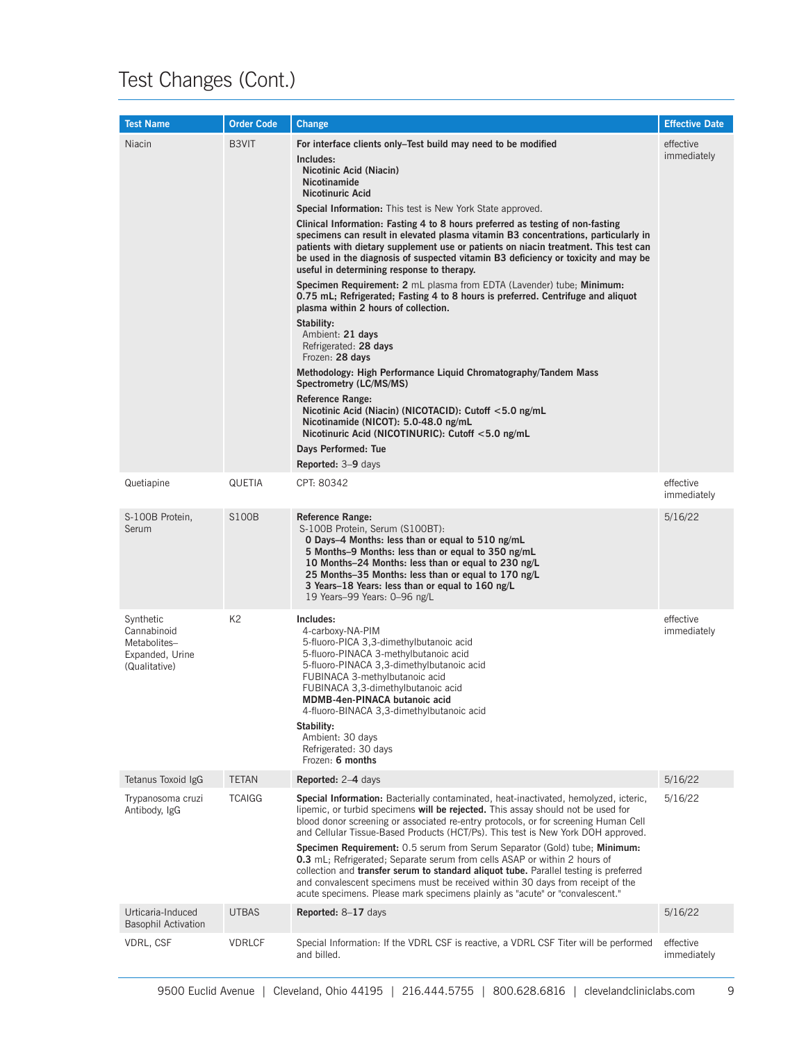| <b>Test Name</b>                                                             | <b>Order Code</b> | <b>Change</b>                                                                                                                                                                                                                                                                                                                                                                                                                                                                                                                                                                                                                                                                                                                                                                                                                                                                                                                                                                                                                                                                                                                                                                                                                                   | <b>Effective Date</b>    |
|------------------------------------------------------------------------------|-------------------|-------------------------------------------------------------------------------------------------------------------------------------------------------------------------------------------------------------------------------------------------------------------------------------------------------------------------------------------------------------------------------------------------------------------------------------------------------------------------------------------------------------------------------------------------------------------------------------------------------------------------------------------------------------------------------------------------------------------------------------------------------------------------------------------------------------------------------------------------------------------------------------------------------------------------------------------------------------------------------------------------------------------------------------------------------------------------------------------------------------------------------------------------------------------------------------------------------------------------------------------------|--------------------------|
| Niacin                                                                       | B3VIT             | For interface clients only–Test build may need to be modified<br>Includes:<br>Nicotinic Acid (Niacin)<br><b>Nicotinamide</b><br><b>Nicotinuric Acid</b><br><b>Special Information:</b> This test is New York State approved.<br>Clinical Information: Fasting 4 to 8 hours preferred as testing of non-fasting<br>specimens can result in elevated plasma vitamin B3 concentrations, particularly in<br>patients with dietary supplement use or patients on niacin treatment. This test can<br>be used in the diagnosis of suspected vitamin B3 deficiency or toxicity and may be<br>useful in determining response to therapy.<br>Specimen Requirement: 2 mL plasma from EDTA (Lavender) tube; Minimum:<br>0.75 mL; Refrigerated; Fasting 4 to 8 hours is preferred. Centrifuge and aliquot<br>plasma within 2 hours of collection.<br>Stability:<br>Ambient: 21 days<br>Refrigerated: 28 days<br>Frozen: 28 days<br>Methodology: High Performance Liquid Chromatography/Tandem Mass<br>Spectrometry (LC/MS/MS)<br><b>Reference Range:</b><br>Nicotinic Acid (Niacin) (NICOTACID): Cutoff <5.0 ng/mL<br>Nicotinamide (NICOT): 5.0-48.0 ng/mL<br>Nicotinuric Acid (NICOTINURIC): Cutoff <5.0 ng/mL<br>Days Performed: Tue<br>Reported: 3-9 days | effective<br>immediately |
| Quetiapine                                                                   | QUETIA            | CPT: 80342                                                                                                                                                                                                                                                                                                                                                                                                                                                                                                                                                                                                                                                                                                                                                                                                                                                                                                                                                                                                                                                                                                                                                                                                                                      | effective<br>immediately |
| S-100B Protein,<br>Serum                                                     | <b>S100B</b>      | <b>Reference Range:</b><br>S-100B Protein, Serum (S100BT):<br>O Days-4 Months: less than or equal to 510 ng/mL<br>5 Months-9 Months: less than or equal to 350 ng/mL<br>10 Months-24 Months: less than or equal to 230 ng/L<br>25 Months-35 Months: less than or equal to 170 ng/L<br>3 Years-18 Years: less than or equal to 160 ng/L<br>19 Years-99 Years: 0-96 ng/L                                                                                                                                                                                                                                                                                                                                                                                                                                                                                                                                                                                                                                                                                                                                                                                                                                                                          | 5/16/22                  |
| Synthetic<br>Cannabinoid<br>Metabolites-<br>Expanded, Urine<br>(Qualitative) | K2                | Includes:<br>4-carboxy-NA-PIM<br>5-fluoro-PICA 3,3-dimethylbutanoic acid<br>5-fluoro-PINACA 3-methylbutanoic acid<br>5-fluoro-PINACA 3,3-dimethylbutanoic acid<br>FUBINACA 3-methylbutanoic acid<br>FUBINACA 3,3-dimethylbutanoic acid<br>MDMB-4en-PINACA butanoic acid<br>4-fluoro-BINACA 3,3-dimethylbutanoic acid<br>Stability:<br>Ambient: 30 days<br>Refrigerated: 30 days<br>Frozen: 6 months                                                                                                                                                                                                                                                                                                                                                                                                                                                                                                                                                                                                                                                                                                                                                                                                                                             | effective<br>immediately |
| Tetanus Toxoid IgG                                                           | <b>TETAN</b>      | Reported: 2-4 days                                                                                                                                                                                                                                                                                                                                                                                                                                                                                                                                                                                                                                                                                                                                                                                                                                                                                                                                                                                                                                                                                                                                                                                                                              | 5/16/22                  |
| Trypanosoma cruzi<br>Antibody, IgG                                           | <b>TCAIGG</b>     | Special Information: Bacterially contaminated, heat-inactivated, hemolyzed, icteric,<br>lipemic, or turbid specimens <b>will be rejected.</b> This assay should not be used for<br>blood donor screening or associated re-entry protocols, or for screening Human Cell<br>and Cellular Tissue-Based Products (HCT/Ps). This test is New York DOH approved.<br>Specimen Requirement: 0.5 serum from Serum Separator (Gold) tube; Minimum:<br><b>0.3</b> mL; Refrigerated; Separate serum from cells ASAP or within 2 hours of<br>collection and <b>transfer serum to standard aliquot tube.</b> Parallel testing is preferred<br>and convalescent specimens must be received within 30 days from receipt of the<br>acute specimens. Please mark specimens plainly as "acute" or "convalescent."                                                                                                                                                                                                                                                                                                                                                                                                                                                  | 5/16/22                  |
| Urticaria-Induced<br><b>Basophil Activation</b>                              | <b>UTBAS</b>      | Reported: 8-17 days                                                                                                                                                                                                                                                                                                                                                                                                                                                                                                                                                                                                                                                                                                                                                                                                                                                                                                                                                                                                                                                                                                                                                                                                                             | 5/16/22                  |
| VDRL, CSF                                                                    | <b>VDRLCF</b>     | Special Information: If the VDRL CSF is reactive, a VDRL CSF Titer will be performed<br>and billed.                                                                                                                                                                                                                                                                                                                                                                                                                                                                                                                                                                                                                                                                                                                                                                                                                                                                                                                                                                                                                                                                                                                                             | effective<br>immediately |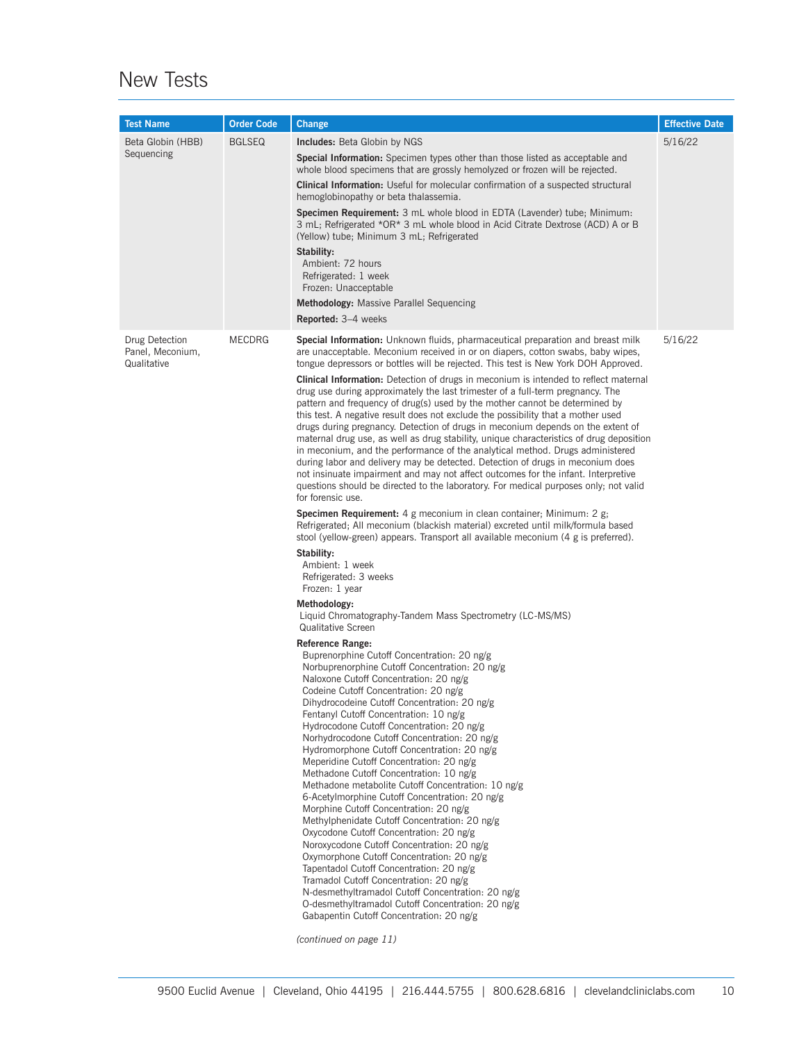#### New Tests

| <b>Test Name</b>                                  | <b>Order Code</b> | <b>Change</b>                                                                                                                                                                                                                                                                                                                                                                                                                                                                                                                                                                                                                                                                                                                                                                                                                                                                                                                                                                                                                                                                                                                                                                                                                                                                                                                                                                                                                                                                                                                                                                                                                                                                                                                                                                                                                                                                                                                                                                                                                                                                                                                                                                                                                                                                                                                                                                                                                                                                                                                                                                                                                                                                                                                                   | <b>Effective Date</b> |
|---------------------------------------------------|-------------------|-------------------------------------------------------------------------------------------------------------------------------------------------------------------------------------------------------------------------------------------------------------------------------------------------------------------------------------------------------------------------------------------------------------------------------------------------------------------------------------------------------------------------------------------------------------------------------------------------------------------------------------------------------------------------------------------------------------------------------------------------------------------------------------------------------------------------------------------------------------------------------------------------------------------------------------------------------------------------------------------------------------------------------------------------------------------------------------------------------------------------------------------------------------------------------------------------------------------------------------------------------------------------------------------------------------------------------------------------------------------------------------------------------------------------------------------------------------------------------------------------------------------------------------------------------------------------------------------------------------------------------------------------------------------------------------------------------------------------------------------------------------------------------------------------------------------------------------------------------------------------------------------------------------------------------------------------------------------------------------------------------------------------------------------------------------------------------------------------------------------------------------------------------------------------------------------------------------------------------------------------------------------------------------------------------------------------------------------------------------------------------------------------------------------------------------------------------------------------------------------------------------------------------------------------------------------------------------------------------------------------------------------------------------------------------------------------------------------------------------------------|-----------------------|
| Beta Globin (HBB)<br>Sequencing                   | <b>BGLSEQ</b>     | <b>Includes:</b> Beta Globin by NGS<br><b>Special Information:</b> Specimen types other than those listed as acceptable and<br>whole blood specimens that are grossly hemolyzed or frozen will be rejected.<br><b>Clinical Information:</b> Useful for molecular confirmation of a suspected structural<br>hemoglobinopathy or beta thalassemia.<br><b>Specimen Requirement:</b> 3 mL whole blood in EDTA (Lavender) tube; Minimum:<br>3 mL; Refrigerated *OR* 3 mL whole blood in Acid Citrate Dextrose (ACD) A or B<br>(Yellow) tube; Minimum 3 mL; Refrigerated<br>Stability:<br>Ambient: 72 hours<br>Refrigerated: 1 week<br>Frozen: Unacceptable<br><b>Methodology:</b> Massive Parallel Sequencing<br><b>Reported:</b> 3-4 weeks                                                                                                                                                                                                                                                                                                                                                                                                                                                                                                                                                                                                                                                                                                                                                                                                                                                                                                                                                                                                                                                                                                                                                                                                                                                                                                                                                                                                                                                                                                                                                                                                                                                                                                                                                                                                                                                                                                                                                                                                          | 5/16/22               |
| Drug Detection<br>Panel, Meconium,<br>Qualitative | <b>MECDRG</b>     | <b>Special Information:</b> Unknown fluids, pharmaceutical preparation and breast milk<br>are unacceptable. Meconium received in or on diapers, cotton swabs, baby wipes,<br>tongue depressors or bottles will be rejected. This test is New York DOH Approved.<br><b>Clinical Information:</b> Detection of drugs in meconium is intended to reflect maternal<br>drug use during approximately the last trimester of a full-term pregnancy. The<br>pattern and frequency of drug(s) used by the mother cannot be determined by<br>this test. A negative result does not exclude the possibility that a mother used<br>drugs during pregnancy. Detection of drugs in meconium depends on the extent of<br>maternal drug use, as well as drug stability, unique characteristics of drug deposition<br>in meconium, and the performance of the analytical method. Drugs administered<br>during labor and delivery may be detected. Detection of drugs in meconium does<br>not insinuate impairment and may not affect outcomes for the infant. Interpretive<br>questions should be directed to the laboratory. For medical purposes only; not valid<br>for forensic use.<br><b>Specimen Requirement:</b> 4 g meconium in clean container; Minimum: 2 g;<br>Refrigerated; All meconium (blackish material) excreted until milk/formula based<br>stool (yellow-green) appears. Transport all available meconium (4 g is preferred).<br>Stability:<br>Ambient: 1 week<br>Refrigerated: 3 weeks<br>Frozen: 1 year<br>Methodology:<br>Liquid Chromatography-Tandem Mass Spectrometry (LC-MS/MS)<br>Qualitative Screen<br><b>Reference Range:</b><br>Buprenorphine Cutoff Concentration: 20 ng/g<br>Norbuprenorphine Cutoff Concentration: 20 ng/g<br>Naloxone Cutoff Concentration: 20 ng/g<br>Codeine Cutoff Concentration: 20 ng/g<br>Dihydrocodeine Cutoff Concentration: 20 ng/g<br>Fentanyl Cutoff Concentration: 10 ng/g<br>Hydrocodone Cutoff Concentration: 20 ng/g<br>Norhydrocodone Cutoff Concentration: 20 ng/g<br>Hydromorphone Cutoff Concentration: 20 ng/g<br>Meperidine Cutoff Concentration: 20 ng/g<br>Methadone Cutoff Concentration: 10 ng/g<br>Methadone metabolite Cutoff Concentration: 10 ng/g<br>6-Acetylmorphine Cutoff Concentration: 20 ng/g<br>Morphine Cutoff Concentration: 20 ng/g<br>Methylphenidate Cutoff Concentration: 20 ng/g<br>Oxycodone Cutoff Concentration: 20 ng/g<br>Noroxycodone Cutoff Concentration: 20 ng/g<br>Oxymorphone Cutoff Concentration: 20 ng/g<br>Tapentadol Cutoff Concentration: 20 ng/g<br>Tramadol Cutoff Concentration: 20 ng/g<br>N-desmethyltramadol Cutoff Concentration: 20 ng/g<br>O-desmethyltramadol Cutoff Concentration: 20 ng/g<br>Gabapentin Cutoff Concentration: 20 ng/g | 5/16/22               |

*(continued on page 11)*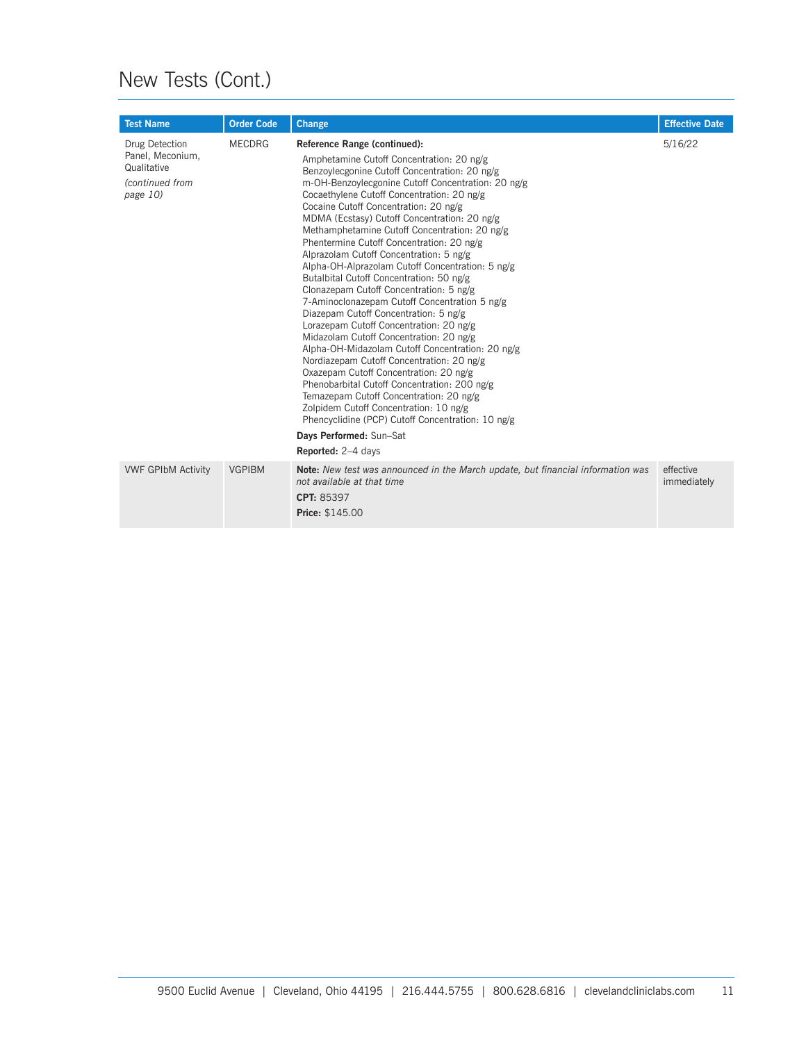#### New Tests (Cont.)

| <b>Test Name</b>                                                                 | <b>Order Code</b> | Change                                                                                                                                                                                                                                                                                                                                                                                                                                                                                                                                                                                                                                                                                                                                                                                                                                                                                                                                                                                                                                                                                                                                                                            | <b>Effective Date</b>    |
|----------------------------------------------------------------------------------|-------------------|-----------------------------------------------------------------------------------------------------------------------------------------------------------------------------------------------------------------------------------------------------------------------------------------------------------------------------------------------------------------------------------------------------------------------------------------------------------------------------------------------------------------------------------------------------------------------------------------------------------------------------------------------------------------------------------------------------------------------------------------------------------------------------------------------------------------------------------------------------------------------------------------------------------------------------------------------------------------------------------------------------------------------------------------------------------------------------------------------------------------------------------------------------------------------------------|--------------------------|
| Drug Detection<br>Panel, Meconium,<br>Qualitative<br>(continued from<br>page 10) | <b>MECDRG</b>     | Reference Range (continued):<br>Amphetamine Cutoff Concentration: 20 ng/g<br>Benzoylecgonine Cutoff Concentration: 20 ng/g<br>m-OH-Benzoylecgonine Cutoff Concentration: 20 ng/g<br>Cocaethylene Cutoff Concentration: 20 ng/g<br>Cocaine Cutoff Concentration: 20 ng/g<br>MDMA (Ecstasy) Cutoff Concentration: 20 ng/g<br>Methamphetamine Cutoff Concentration: 20 ng/g<br>Phentermine Cutoff Concentration: 20 ng/g<br>Alprazolam Cutoff Concentration: 5 ng/g<br>Alpha-OH-Alprazolam Cutoff Concentration: 5 ng/g<br>Butalbital Cutoff Concentration: 50 ng/g<br>Clonazepam Cutoff Concentration: 5 ng/g<br>7-Aminoclonazepam Cutoff Concentration 5 ng/g<br>Diazepam Cutoff Concentration: 5 ng/g<br>Lorazepam Cutoff Concentration: 20 ng/g<br>Midazolam Cutoff Concentration: 20 ng/g<br>Alpha-OH-Midazolam Cutoff Concentration: 20 ng/g<br>Nordiazepam Cutoff Concentration: 20 ng/g<br>Oxazepam Cutoff Concentration: 20 ng/g<br>Phenobarbital Cutoff Concentration: 200 ng/g<br>Temazepam Cutoff Concentration: 20 ng/g<br>Zolpidem Cutoff Concentration: 10 ng/g<br>Phencyclidine (PCP) Cutoff Concentration: 10 ng/g<br>Days Performed: Sun-Sat<br>Reported: 2-4 days | 5/16/22                  |
| <b>VWF GPIbM Activity</b>                                                        | <b>VGPIBM</b>     | Note: New test was announced in the March update, but financial information was<br>not available at that time<br>CPT: 85397<br>Price: \$145.00                                                                                                                                                                                                                                                                                                                                                                                                                                                                                                                                                                                                                                                                                                                                                                                                                                                                                                                                                                                                                                    | effective<br>immediately |